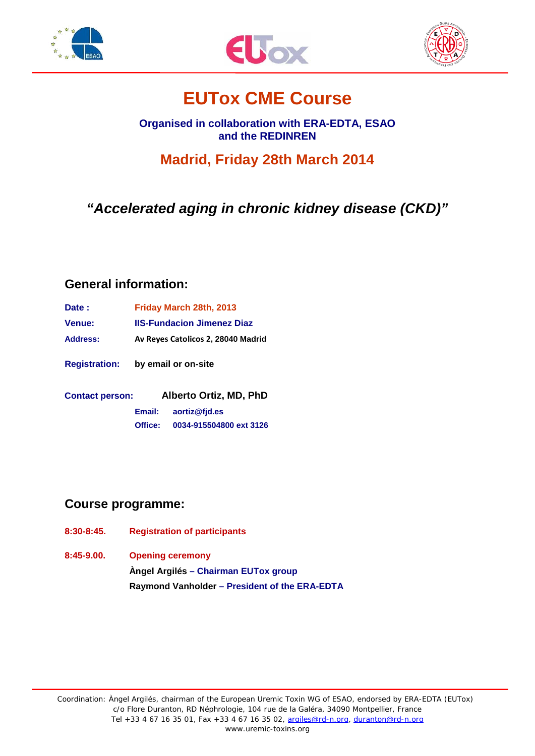





# **EUTox CME Course**

**Organised in collaboration with ERA-EDTA, ESAO and the REDINREN**

**Madrid, Friday 28th March 2014**

*"Accelerated aging in chronic kidney disease (CKD)"*

### **General information:**

| Date :          | Friday March 28th, 2013            |
|-----------------|------------------------------------|
| Venue:          | <b>IIS-Fundacion Jimenez Diaz</b>  |
| <b>Address:</b> | Av Reves Catolicos 2, 28040 Madrid |

**Registration: by email or on-site**

**Contact person: Alberto Ortiz, MD, PhD Email: [aortiz@fjd.es](mailto:alessandra.perna@unina2.it) Office: 0034-915504800 ext 3126**

## **Course programme:**

- **8:30-8:45. Registration of participants**
- **8:45-9.00. Opening ceremony Àngel Argilés – Chairman EUTox group Raymond Vanholder – President of the ERA-EDTA**